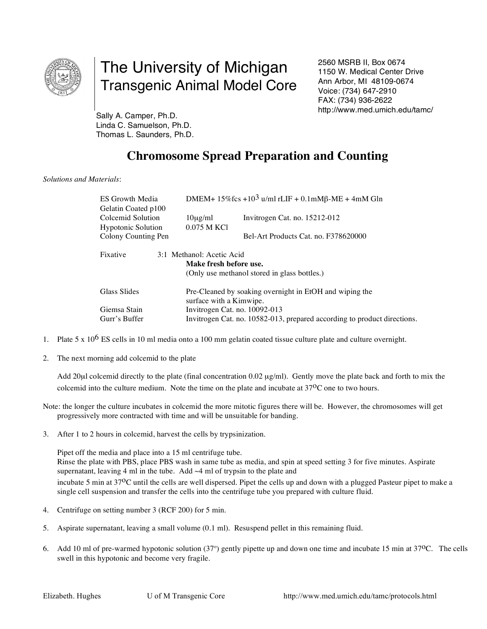

## The University of Michigan Transgenic Animal Model Core

2560 MSRB II, Box 0674 1150 W. Medical Center Drive Ann Arbor, MI 48109-0674 Voice: (734) 647-2910 FAX: (734) 936-2622 http://www.med.umich.edu/tamc/

Sally A. Camper, Ph.D. Linda C. Samuelson, Ph.D. Thomas L. Saunders, Ph.D.

## **Chromosome Spread Preparation and Counting**

## *Solutions and Materials*:

| DMEM+ $15\%$ fcs + $10^3$ u/ml rLIF + 0.1mM $\beta$ -ME + 4mM Gln        |                                                                                |
|--------------------------------------------------------------------------|--------------------------------------------------------------------------------|
|                                                                          |                                                                                |
| $10\mu$ g/ml                                                             | Invitrogen Cat. no. 15212-012                                                  |
| 0.075 M KCl                                                              |                                                                                |
|                                                                          | Bel-Art Products Cat. no. F378620000                                           |
|                                                                          |                                                                                |
|                                                                          |                                                                                |
|                                                                          |                                                                                |
|                                                                          | (Only use methanol stored in glass bottles.)                                   |
|                                                                          |                                                                                |
| Pre-Cleaned by soaking overnight in EtOH and wiping the<br>Glass Slides  |                                                                                |
|                                                                          |                                                                                |
| Invitrogen Cat. no. 10092-013                                            |                                                                                |
| Invitrogen Cat. no. 10582-013, prepared according to product directions. |                                                                                |
|                                                                          | 3:1 Methanol: Acetic Acid<br>Make fresh before use.<br>surface with a Kimwipe. |

- 1. Plate 5 x  $10^6$  ES cells in 10 ml media onto a 100 mm gelatin coated tissue culture plate and culture overnight.
- 2. The next morning add colcemid to the plate

Add 20µl colcemid directly to the plate (final concentration 0.02 µg/ml). Gently move the plate back and forth to mix the colcemid into the culture medium. Note the time on the plate and incubate at 37<sup>o</sup>C one to two hours.

Note: the longer the culture incubates in colcemid the more mitotic figures there will be. However, the chromosomes will get progressively more contracted with time and will be unsuitable for banding.

3. After 1 to 2 hours in colcemid, harvest the cells by trypsinization.

Pipet off the media and place into a 15 ml centrifuge tube. Rinse the plate with PBS, place PBS wash in same tube as media, and spin at speed setting 3 for five minutes. Aspirate supernatant, leaving 4 ml in the tube. Add ~4 ml of trypsin to the plate and incubate 5 min at 37<sup>o</sup>C until the cells are well dispersed. Pipet the cells up and down with a plugged Pasteur pipet to make a single cell suspension and transfer the cells into the centrifuge tube you prepared with culture fluid.

- 4. Centrifuge on setting number 3 (RCF 200) for 5 min.
- 5. Aspirate supernatant, leaving a small volume (0.1 ml). Resuspend pellet in this remaining fluid.
- 6. Add 10 ml of pre-warmed hypotonic solution  $(37^{\circ})$  gently pipette up and down one time and incubate 15 min at  $37^{\circ}$ C. The cells swell in this hypotonic and become very fragile.